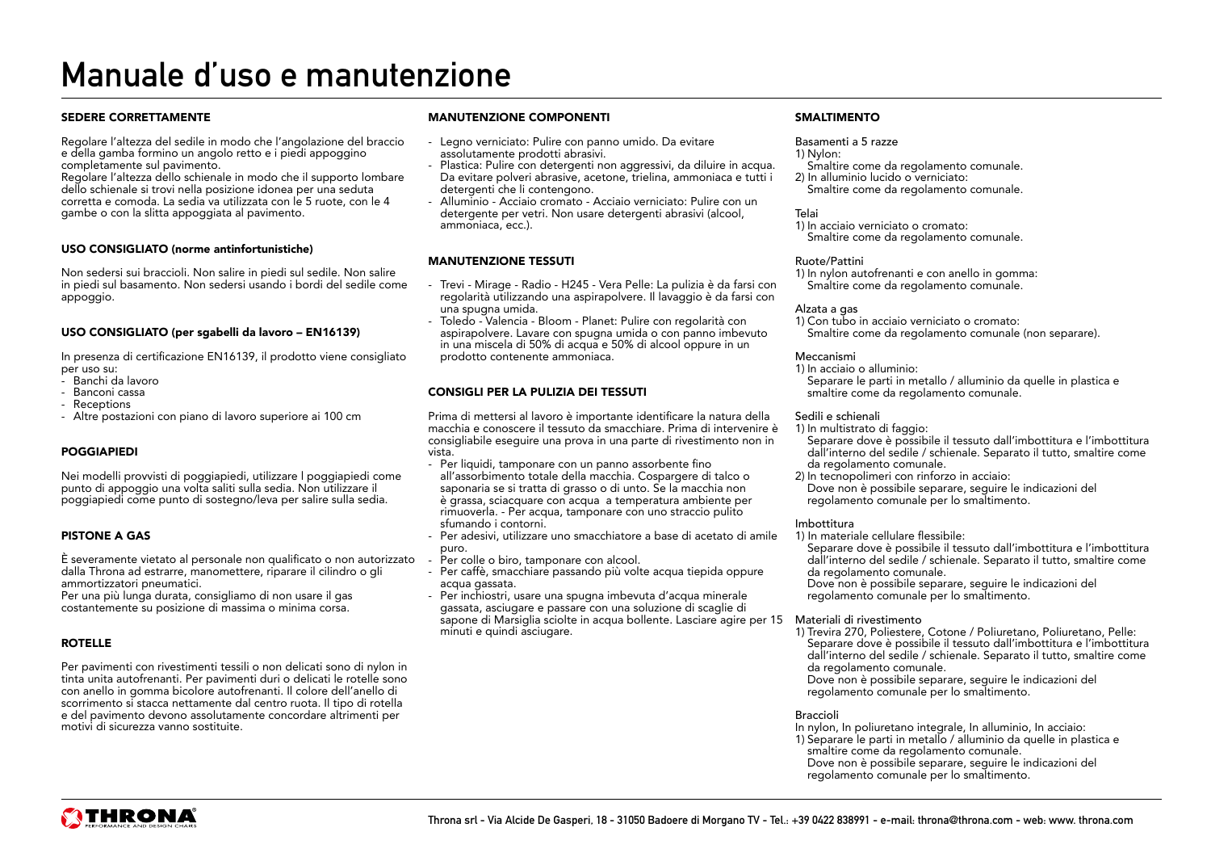# Manuale d'uso e manutenzione

#### SEDERE CORRETTAMENTE

Regolare l'altezza del sedile in modo che l'angolazione del braccio e della gamba formino un angolo retto e i piedi appoggino completamente sul pavimento.

Regolare l'altezza dello schienale in modo che il supporto lombare dello schienale si trovi nella posizione idonea per una seduta corretta e comoda. La sedia va utilizzata con le 5 ruote, con le 4 gambe o con la slitta appoggiata al pavimento.

#### USO CONSIGLIATO (norme antinfortunistiche)

Non sedersi sui braccioli. Non salire in piedi sul sedile. Non salire in piedi sul basamento. Non sedersi usando i bordi del sedile come appoggio.

#### USO CONSIGLIATO (per sgabelli da lavoro – EN16139)

In presenza di certificazione EN16139, il prodotto viene consigliato per uso su:

- Banchi da lavoro
- Banconi cassa
- Receptions
- Altre postazioni con piano di lavoro superiore ai 100 cm

#### POGGIAPIEDI

Nei modelli provvisti di poggiapiedi, utilizzare l poggiapiedi come punto di appoggio una volta saliti sulla sedia. Non utilizzare il poggiapiedi come punto di sostegno/leva per salire sulla sedia.

#### PISTONE A GAS

È severamente vietato al personale non qualificato o non autorizzato dalla Throna ad estrarre, manomettere, riparare il cilindro o gli ammortizzatori pneumatici.

Per una più lunga durata, consigliamo di non usare il gas costantemente su posizione di massima o minima corsa.

### ROTELLE

Per pavimenti con rivestimenti tessili o non delicati sono di nylon in tinta unita autofrenanti. Per pavimenti duri o delicati le rotelle sono con anello in gomma bicolore autofrenanti. Il colore dell'anello di scorrimento si stacca nettamente dal centro ruota. Il tipo di rotella e del pavimento devono assolutamente concordare altrimenti per motivi di sicurezza vanno sostituite.

#### MANUTENZIONE COMPONENTI

- Legno verniciato: Pulire con panno umido. Da evitare assolutamente prodotti abrasivi.
- Plastica: Pulire con detergenti non aggressivi, da diluire in acqua. Da evitare polveri abrasive, acetone, trielina, ammoniaca e tutti i detergenti che li contengono.
- Alluminio Acciaio cromato Acciaio verniciato: Pulire con un detergente per vetri. Non usare detergenti abrasivi (alcool, ammoniaca, ecc.).

#### MANUTENZIONE TESSUTI

- Trevi Mirage Radio H245 Vera Pelle: La pulizia è da farsi con regolarità utilizzando una aspirapolvere. Il lavaggio è da farsi con una spugna umida.
- Toledo Valencia Bloom Planet: Pulire con regolarità con aspirapolvere. Lavare con spugna umida o con panno imbevuto in una miscela di 50% di acqua e 50% di alcool oppure in un prodotto contenente ammoniaca.

### CONSIGLI PER LA PULIZIA DEI TESSUTI

Prima di mettersi al lavoro è importante identificare la natura della macchia e conoscere il tessuto da smacchiare. Prima di intervenire è consigliabile eseguire una prova in una parte di rivestimento non in vista.

- Per liquidi, tamponare con un panno assorbente fino all'assorbimento totale della macchia. Cospargere di talco o saponaria se si tratta di grasso o di unto. Se la macchia non è grassa, sciacquare con acqua a temperatura ambiente per rimuoverla. - Per acqua, tamponare con uno straccio pulito sfumando i contorni.
- Per adesivi, utilizzare uno smacchiatore a base di acetato di amile puro.
- Per colle o biro, tamponare con alcool.
- Per caffè, smacchiare passando più volte acqua tiepida oppure acqua gassata.
- Per inchiostri, usare una spugna imbevuta d'acqua minerale gassata, asciugare e passare con una soluzione di scaglie di sapone di Marsiglia sciolte in acqua bollente. Lasciare agire per 15 Materiali di rivestimento minuti e quindi asciugare.

#### **SMALTIMENTO**

#### Basamenti a 5 razze

#### 1) Nylon:

- Smaltire come da regolamento comunale.
- 2) In alluminio lucido o verniciato: Smaltire come da regolamento comunale.

#### Telai

1) In acciaio verniciato o cromato: Smaltire come da regolamento comunale.

#### Ruote/Pattini

1) In nylon autofrenanti e con anello in gomma: Smaltire come da regolamento comunale.

#### Alzata a gas

1) Con tubo in acciaio verniciato o cromato: Smaltire come da regolamento comunale (non separare).

#### Meccanismi

1) In acciaio o alluminio: Separare le parti in metallo / alluminio da quelle in plastica e smaltire come da regolamento comunale.

#### Sedili e schienali

1) In multistrato di faggio:

Separare dove è possibile il tessuto dall'imbottitura e l'imbottitura dall'interno del sedile / schienale. Separato il tutto, smaltire come da regolamento comunale.

2) In tecnopolimeri con rinforzo in acciaio: Dove non è possibile separare, seguire le indicazioni del regolamento comunale per lo smaltimento.

#### Imbottitura

1) In materiale cellulare flessibile:

Separare dove è possibile il tessuto dall'imbottitura e l'imbottitura dall'interno del sedile / schienale. Separato il tutto, smaltire come da regolamento comunale.

Dove non è possibile separare, seguire le indicazioni del regolamento comunale per lo smaltimento.

1) Trevira 270, Poliestere, Cotone / Poliuretano, Poliuretano, Pelle: Separare dove è possibile il tessuto dall'imbottitura e l'imbottitura dall'interno del sedile / schienale. Separato il tutto, smaltire come da regolamento comunale.

Dove non è possibile separare, seguire le indicazioni del regolamento comunale per lo smaltimento.

#### Braccioli

- In nylon, In poliuretano integrale, In alluminio, In acciaio:
- 1) Separare le parti in metallo / alluminio da quelle in plastica e smaltire come da regolamento comunale. Dove non è possibile separare, seguire le indicazioni del
- regolamento comunale per lo smaltimento.